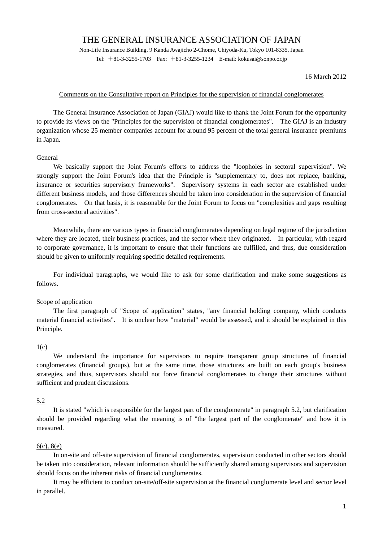# THE GENERAL INSURANCE ASSOCIATION OF JAPAN

Non-Life Insurance Building, 9 Kanda Awajicho 2-Chome, Chiyoda-Ku, Tokyo 101-8335, Japan Tel:  $+81-3-3255-1703$  Fax:  $+81-3-3255-1234$  E-mail: kokusai@sonpo.or.jp

## 16 March 2012

# Comments on the Consultative report on Principles for the supervision of financial conglomerates

 The General Insurance Association of Japan (GIAJ) would like to thank the Joint Forum for the opportunity to provide its views on the "Principles for the supervision of financial conglomerates". The GIAJ is an industry organization whose 25 member companies account for around 95 percent of the total general insurance premiums in Japan.

### General

 We basically support the Joint Forum's efforts to address the "loopholes in sectoral supervision". We strongly support the Joint Forum's idea that the Principle is "supplementary to, does not replace, banking, insurance or securities supervisory frameworks". Supervisory systems in each sector are established under different business models, and those differences should be taken into consideration in the supervision of financial conglomerates. On that basis, it is reasonable for the Joint Forum to focus on "complexities and gaps resulting from cross-sectoral activities".

 Meanwhile, there are various types in financial conglomerates depending on legal regime of the jurisdiction where they are located, their business practices, and the sector where they originated. In particular, with regard to corporate governance, it is important to ensure that their functions are fulfilled, and thus, due consideration should be given to uniformly requiring specific detailed requirements.

 For individual paragraphs, we would like to ask for some clarification and make some suggestions as follows.

### Scope of application

 The first paragraph of "Scope of application" states, "any financial holding company, which conducts material financial activities". It is unclear how "material" would be assessed, and it should be explained in this Principle.

#### $1(c)$

 We understand the importance for supervisors to require transparent group structures of financial conglomerates (financial groups), but at the same time, those structures are built on each group's business strategies, and thus, supervisors should not force financial conglomerates to change their structures without sufficient and prudent discussions.

#### 5.2

 It is stated "which is responsible for the largest part of the conglomerate" in paragraph 5.2, but clarification should be provided regarding what the meaning is of "the largest part of the conglomerate" and how it is measured.

# 6(c), 8(e)

 In on-site and off-site supervision of financial conglomerates, supervision conducted in other sectors should be taken into consideration, relevant information should be sufficiently shared among supervisors and supervision should focus on the inherent risks of financial conglomerates.

 It may be efficient to conduct on-site/off-site supervision at the financial conglomerate level and sector level in parallel.